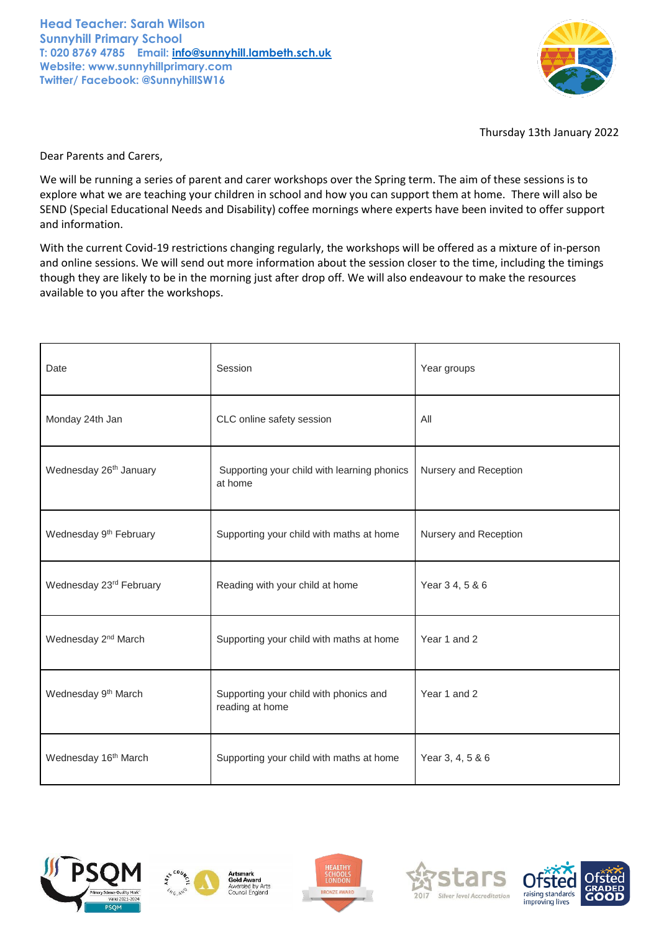

Thursday 13th January 2022

Dear Parents and Carers,

We will be running a series of parent and carer workshops over the Spring term. The aim of these sessions is to explore what we are teaching your children in school and how you can support them at home. There will also be SEND (Special Educational Needs and Disability) coffee mornings where experts have been invited to offer support and information.

With the current Covid-19 restrictions changing regularly, the workshops will be offered as a mixture of in-person and online sessions. We will send out more information about the session closer to the time, including the timings though they are likely to be in the morning just after drop off. We will also endeavour to make the resources available to you after the workshops.

| Date                               | Session                                                   | Year groups           |
|------------------------------------|-----------------------------------------------------------|-----------------------|
| Monday 24th Jan                    | CLC online safety session                                 | All                   |
| Wednesday 26 <sup>th</sup> January | Supporting your child with learning phonics<br>at home    | Nursery and Reception |
| Wednesday 9 <sup>th</sup> February | Supporting your child with maths at home                  | Nursery and Reception |
| Wednesday 23rd February            | Reading with your child at home                           | Year 34, 5 & 6        |
| Wednesday 2 <sup>nd</sup> March    | Supporting your child with maths at home                  | Year 1 and 2          |
| Wednesday 9 <sup>th</sup> March    | Supporting your child with phonics and<br>reading at home | Year 1 and 2          |
| Wednesday 16 <sup>th</sup> March   | Supporting your child with maths at home                  | Year 3, 4, 5 & 6      |